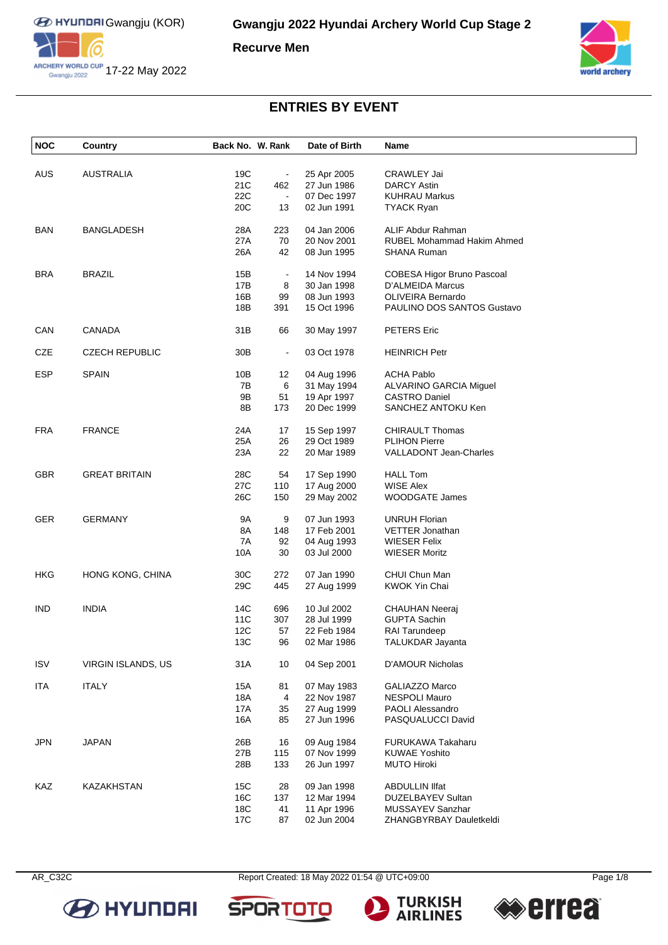

ARCHERY WORLD CUP 17-22 May 2022

**Recurve Men**



## **ENTRIES BY EVENT**

| <b>NOC</b> | Country               | Back No. W. Rank |                | Date of Birth | Name                              |
|------------|-----------------------|------------------|----------------|---------------|-----------------------------------|
|            |                       |                  |                |               |                                   |
| AUS        | <b>AUSTRALIA</b>      | 19C              | $\blacksquare$ | 25 Apr 2005   | CRAWLEY Jai                       |
|            |                       | 21C              | 462            | 27 Jun 1986   | <b>DARCY Astin</b>                |
|            |                       | 22C              | $\blacksquare$ | 07 Dec 1997   | <b>KUHRAU Markus</b>              |
|            |                       | 20C              | 13             | 02 Jun 1991   | <b>TYACK Ryan</b>                 |
| <b>BAN</b> | <b>BANGLADESH</b>     | 28A              | 223            | 04 Jan 2006   | ALIF Abdur Rahman                 |
|            |                       | 27A              | 70             | 20 Nov 2001   | <b>RUBEL Mohammad Hakim Ahmed</b> |
|            |                       | 26A              | 42             | 08 Jun 1995   | <b>SHANA Ruman</b>                |
| <b>BRA</b> | <b>BRAZIL</b>         | 15B              | $\blacksquare$ | 14 Nov 1994   | COBESA Higor Bruno Pascoal        |
|            |                       | 17B              | 8              | 30 Jan 1998   | D'ALMEIDA Marcus                  |
|            |                       | 16B              | 99             | 08 Jun 1993   | <b>OLIVEIRA Bernardo</b>          |
|            |                       | 18B              | 391            | 15 Oct 1996   | PAULINO DOS SANTOS Gustavo        |
|            |                       |                  |                |               |                                   |
| CAN        | <b>CANADA</b>         | 31B              | 66             | 30 May 1997   | <b>PETERS</b> Eric                |
| CZE        | <b>CZECH REPUBLIC</b> | 30 <sub>B</sub>  | $\blacksquare$ | 03 Oct 1978   | <b>HEINRICH Petr</b>              |
| <b>ESP</b> | <b>SPAIN</b>          | 10B              | 12             | 04 Aug 1996   | <b>ACHA Pablo</b>                 |
|            |                       | 7B               | 6              | 31 May 1994   | ALVARINO GARCIA Miguel            |
|            |                       | 9Β               | 51             | 19 Apr 1997   | <b>CASTRO Daniel</b>              |
|            |                       | 8B               | 173            | 20 Dec 1999   | SANCHEZ ANTOKU Ken                |
|            |                       |                  |                |               |                                   |
| <b>FRA</b> | <b>FRANCE</b>         | 24A              | 17             | 15 Sep 1997   | <b>CHIRAULT Thomas</b>            |
|            |                       | 25A              | 26             | 29 Oct 1989   | <b>PLIHON Pierre</b>              |
|            |                       | 23A              | 22             | 20 Mar 1989   | <b>VALLADONT Jean-Charles</b>     |
| <b>GBR</b> | <b>GREAT BRITAIN</b>  | 28C              | 54             | 17 Sep 1990   | <b>HALL Tom</b>                   |
|            |                       | 27C              | 110            | 17 Aug 2000   | <b>WISE Alex</b>                  |
|            |                       | 26C              | 150            | 29 May 2002   | <b>WOODGATE James</b>             |
| GER        | <b>GERMANY</b>        | <b>9A</b>        | 9              | 07 Jun 1993   | <b>UNRUH Florian</b>              |
|            |                       |                  |                |               |                                   |
|            |                       | 8A               | 148            | 17 Feb 2001   | <b>VETTER Jonathan</b>            |
|            |                       | 7A               | 92             | 04 Aug 1993   | WIESER Felix                      |
|            |                       | 10A              | 30             | 03 Jul 2000   | <b>WIESER Moritz</b>              |
| <b>HKG</b> | HONG KONG, CHINA      | 30C              | 272            | 07 Jan 1990   | CHUI Chun Man                     |
|            |                       | 29C              | 445            | 27 Aug 1999   | <b>KWOK Yin Chai</b>              |
| <b>IND</b> | <b>INDIA</b>          | 14C              | 696            | 10 Jul 2002   | <b>CHAUHAN Neeraj</b>             |
|            |                       | 11C              | 307            | 28 Jul 1999   | <b>GUPTA Sachin</b>               |
|            |                       | 12C              | 57             | 22 Feb 1984   | <b>RAI Tarundeep</b>              |
|            |                       | 13C              | 96             | 02 Mar 1986   | TALUKDAR Jayanta                  |
| <b>ISV</b> | VIRGIN ISLANDS, US    | 31A              | 10             | 04 Sep 2001   | D'AMOUR Nicholas                  |
|            |                       |                  |                |               |                                   |
| <b>ITA</b> | <b>ITALY</b>          | 15A              | 81             | 07 May 1983   | GALIAZZO Marco                    |
|            |                       | 18A              | 4              | 22 Nov 1987   | <b>NESPOLI Mauro</b>              |
|            |                       | 17A              | 35             | 27 Aug 1999   | <b>PAOLI Alessandro</b>           |
|            |                       | 16A              | 85             | 27 Jun 1996   | PASQUALUCCI David                 |
| <b>JPN</b> | <b>JAPAN</b>          | 26B              | 16             | 09 Aug 1984   | FURUKAWA Takaharu                 |
|            |                       | 27B              | 115            | 07 Nov 1999   | <b>KUWAE Yoshito</b>              |
|            |                       | 28B              | 133            | 26 Jun 1997   | <b>MUTO Hiroki</b>                |
| KAZ        | KAZAKHSTAN            | 15C              | 28             | 09 Jan 1998   | <b>ABDULLIN IIfat</b>             |
|            |                       | 16C              | 137            | 12 Mar 1994   | DUZELBAYEV Sultan                 |
|            |                       | 18C              | 41             | 11 Apr 1996   | MUSSAYEV Sanzhar                  |
|            |                       | 17C              | 87             | 02 Jun 2004   | ZHANGBYRBAY Dauletkeldi           |



AR\_C32C Report Created: 18 May 2022 01:54 @ UTC+09:00 Page 1/8





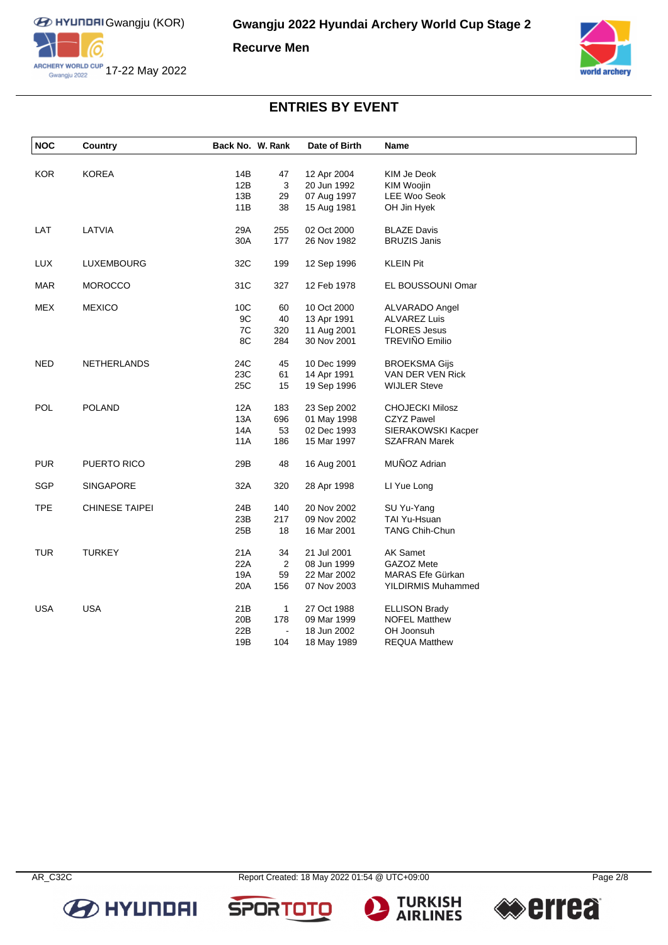

**Recurve Men**



## **ENTRIES BY EVENT**

| <b>NOC</b> | Country               | Back No. W. Rank |                | Date of Birth | Name                      |  |
|------------|-----------------------|------------------|----------------|---------------|---------------------------|--|
| <b>KOR</b> | <b>KOREA</b>          | 14B              |                | 12 Apr 2004   | KIM Je Deok               |  |
|            |                       | 12B              | 47<br>3        | 20 Jun 1992   | KIM Woojin                |  |
|            |                       | 13B              | 29             | 07 Aug 1997   | LEE Woo Seok              |  |
|            |                       | 11B              | 38             | 15 Aug 1981   | OH Jin Hyek               |  |
|            |                       |                  |                |               |                           |  |
| LAT        | LATVIA                | 29A              | 255            | 02 Oct 2000   | <b>BLAZE Davis</b>        |  |
|            |                       | 30A              | 177            | 26 Nov 1982   | <b>BRUZIS Janis</b>       |  |
| <b>LUX</b> | LUXEMBOURG            | 32C              | 199            | 12 Sep 1996   | <b>KLEIN Pit</b>          |  |
| <b>MAR</b> | <b>MOROCCO</b>        | 31C              | 327            | 12 Feb 1978   | EL BOUSSOUNI Omar         |  |
| <b>MEX</b> | <b>MEXICO</b>         | 10 <sub>C</sub>  | 60             | 10 Oct 2000   | <b>ALVARADO Angel</b>     |  |
|            |                       | 9C               | 40             | 13 Apr 1991   | <b>ALVAREZ Luis</b>       |  |
|            |                       | 7C               | 320            | 11 Aug 2001   | <b>FLORES Jesus</b>       |  |
|            |                       | 8C               | 284            | 30 Nov 2001   | TREVIÑO Emilio            |  |
| <b>NED</b> | NETHERLANDS           | 24C              | 45             | 10 Dec 1999   | <b>BROEKSMA Gijs</b>      |  |
|            |                       | 23C              | 61             | 14 Apr 1991   | VAN DER VEN Rick          |  |
|            |                       | 25C              | 15             | 19 Sep 1996   | <b>WIJLER Steve</b>       |  |
| POL        | <b>POLAND</b>         | 12A              | 183            | 23 Sep 2002   | <b>CHOJECKI Milosz</b>    |  |
|            |                       | 13A              | 696            | 01 May 1998   | <b>CZYZ Pawel</b>         |  |
|            |                       | 14A              | 53             | 02 Dec 1993   | SIERAKOWSKI Kacper        |  |
|            |                       | 11A              | 186            | 15 Mar 1997   | <b>SZAFRAN Marek</b>      |  |
|            |                       |                  |                |               |                           |  |
| <b>PUR</b> | PUERTO RICO           | 29B              | 48             | 16 Aug 2001   | MUÑOZ Adrian              |  |
| SGP        | <b>SINGAPORE</b>      | 32A              | 320            | 28 Apr 1998   | LI Yue Long               |  |
| <b>TPE</b> | <b>CHINESE TAIPEI</b> | 24B              | 140            | 20 Nov 2002   | SU Yu-Yang                |  |
|            |                       | 23B              | 217            | 09 Nov 2002   | TAI Yu-Hsuan              |  |
|            |                       | 25B              | 18             | 16 Mar 2001   | <b>TANG Chih-Chun</b>     |  |
| <b>TUR</b> | <b>TURKEY</b>         | 21A              | 34             | 21 Jul 2001   | <b>AK Samet</b>           |  |
|            |                       | 22A              | $\overline{2}$ | 08 Jun 1999   | GAZOZ Mete                |  |
|            |                       | 19A              | 59             | 22 Mar 2002   | MARAS Efe Gürkan          |  |
|            |                       | 20A              | 156            | 07 Nov 2003   | <b>YILDIRMIS Muhammed</b> |  |
|            |                       |                  |                |               |                           |  |
| <b>USA</b> | <b>USA</b>            | 21B              | $\mathbf{1}$   | 27 Oct 1988   | <b>ELLISON Brady</b>      |  |
|            |                       | 20B              | 178            | 09 Mar 1999   | <b>NOFEL Matthew</b>      |  |
|            |                       | 22B              | $\Box$         | 18 Jun 2002   | OH Joonsuh                |  |
|            |                       | 19B              | 104            | 18 May 1989   | <b>REQUA Matthew</b>      |  |

**SPOR** 





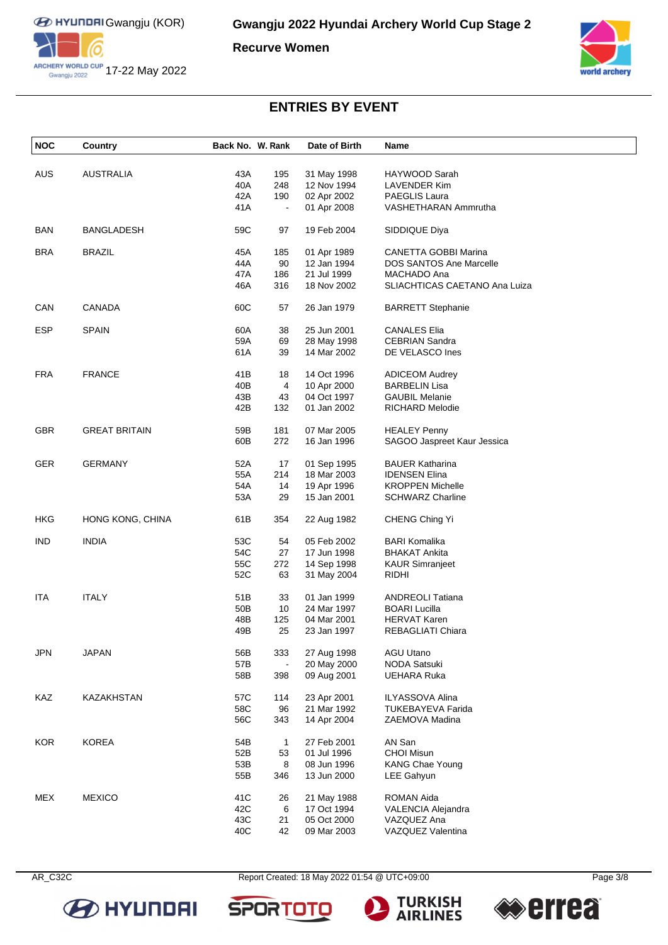

**Recurve Women**



## **ENTRIES BY EVENT**

| <b>NOC</b> | Country              | Back No. W. Rank |                          | Date of Birth | Name                           |
|------------|----------------------|------------------|--------------------------|---------------|--------------------------------|
|            |                      |                  |                          |               |                                |
| <b>AUS</b> | AUSTRALIA            | 43A              | 195                      | 31 May 1998   | HAYWOOD Sarah                  |
|            |                      | 40A              | 248                      | 12 Nov 1994   | LAVENDER Kim                   |
|            |                      | 42A              | 190                      | 02 Apr 2002   | <b>PAEGLIS Laura</b>           |
|            |                      | 41 A             | $\overline{\phantom{a}}$ | 01 Apr 2008   | VASHETHARAN Ammrutha           |
| <b>BAN</b> | <b>BANGLADESH</b>    | 59C              | 97                       | 19 Feb 2004   | SIDDIQUE Diya                  |
| <b>BRA</b> | <b>BRAZIL</b>        | 45A              | 185                      | 01 Apr 1989   | CANETTA GOBBI Marina           |
|            |                      | 44A              | 90                       | 12 Jan 1994   | <b>DOS SANTOS Ane Marcelle</b> |
|            |                      | 47A              | 186                      | 21 Jul 1999   | MACHADO Ana                    |
|            |                      | 46A              | 316                      | 18 Nov 2002   | SLIACHTICAS CAETANO Ana Luiza  |
| CAN        | <b>CANADA</b>        | 60C              | 57                       | 26 Jan 1979   | <b>BARRETT Stephanie</b>       |
| <b>ESP</b> | <b>SPAIN</b>         | 60A              | 38                       | 25 Jun 2001   | <b>CANALES Elia</b>            |
|            |                      | 59A              | 69                       | 28 May 1998   | <b>CEBRIAN Sandra</b>          |
|            |                      | 61 A             | 39                       | 14 Mar 2002   | DE VELASCO Ines                |
|            |                      |                  |                          |               |                                |
| <b>FRA</b> | <b>FRANCE</b>        | 41B              | 18                       | 14 Oct 1996   | <b>ADICEOM Audrey</b>          |
|            |                      | 40B              | 4                        | 10 Apr 2000   | <b>BARBELIN Lisa</b>           |
|            |                      | 43B              | 43                       | 04 Oct 1997   | <b>GAUBIL Melanie</b>          |
|            |                      | 42B              | 132                      | 01 Jan 2002   | RICHARD Melodie                |
| <b>GBR</b> | <b>GREAT BRITAIN</b> | 59B              | 181                      | 07 Mar 2005   | <b>HEALEY Penny</b>            |
|            |                      | 60B              | 272                      | 16 Jan 1996   | SAGOO Jaspreet Kaur Jessica    |
|            |                      |                  |                          |               |                                |
| <b>GER</b> | <b>GERMANY</b>       | 52A              | 17                       | 01 Sep 1995   | <b>BAUER Katharina</b>         |
|            |                      | 55A              | 214                      | 18 Mar 2003   | <b>IDENSEN Elina</b>           |
|            |                      | 54A              | 14                       | 19 Apr 1996   | <b>KROPPEN Michelle</b>        |
|            |                      | 53A              | 29                       | 15 Jan 2001   | <b>SCHWARZ Charline</b>        |
| <b>HKG</b> | HONG KONG, CHINA     | 61B              | 354                      | 22 Aug 1982   | CHENG Ching Yi                 |
| <b>IND</b> | <b>INDIA</b>         | 53C              | 54                       | 05 Feb 2002   | <b>BARI Komalika</b>           |
|            |                      | 54C              | 27                       | 17 Jun 1998   | <b>BHAKAT Ankita</b>           |
|            |                      | 55C              | 272                      | 14 Sep 1998   | <b>KAUR Simranjeet</b>         |
|            |                      | 52C              | 63                       | 31 May 2004   | <b>RIDHI</b>                   |
| <b>ITA</b> | <b>ITALY</b>         | 51B              | 33                       | 01 Jan 1999   | <b>ANDREOLI Tatiana</b>        |
|            |                      | 50 <sub>B</sub>  | 10                       | 24 Mar 1997   | <b>BOARI Lucilla</b>           |
|            |                      | 48B              | 125                      | 04 Mar 2001   | <b>HERVAT Karen</b>            |
|            |                      | 49B              | 25                       | 23 Jan 1997   | REBAGLIATI Chiara              |
|            |                      |                  |                          |               |                                |
| <b>JPN</b> | <b>JAPAN</b>         | 56B              | 333                      | 27 Aug 1998   | <b>AGU Utano</b>               |
|            |                      | 57B              | $\blacksquare$           | 20 May 2000   | <b>NODA Satsuki</b>            |
|            |                      | 58B              | 398                      | 09 Aug 2001   | UEHARA Ruka                    |
| KAZ        | KAZAKHSTAN           | 57C              | 114                      | 23 Apr 2001   | <b>ILYASSOVA Alina</b>         |
|            |                      | 58C              | 96                       | 21 Mar 1992   | <b>TUKEBAYEVA Farida</b>       |
|            |                      | 56C              | 343                      | 14 Apr 2004   | ZAEMOVA Madina                 |
|            |                      |                  |                          |               |                                |
| <b>KOR</b> | <b>KOREA</b>         | 54B              | $\mathbf{1}$             | 27 Feb 2001   | AN San                         |
|            |                      | 52B              | 53                       | 01 Jul 1996   | <b>CHOI Misun</b>              |
|            |                      | 53B              | 8                        | 08 Jun 1996   | <b>KANG Chae Young</b>         |
|            |                      | 55B              | 346                      | 13 Jun 2000   | LEE Gahyun                     |
| <b>MEX</b> | <b>MEXICO</b>        | 41C              | 26                       | 21 May 1988   | ROMAN Aida                     |
|            |                      | 42C              | 6                        | 17 Oct 1994   | VALENCIA Alejandra             |
|            |                      | 43C              | 21                       | 05 Oct 2000   | VAZQUEZ Ana                    |
|            |                      | 40C              | 42                       | 09 Mar 2003   | VAZQUEZ Valentina              |



AR\_C32C Report Created: 18 May 2022 01:54 @ UTC+09:00 Page 3/8





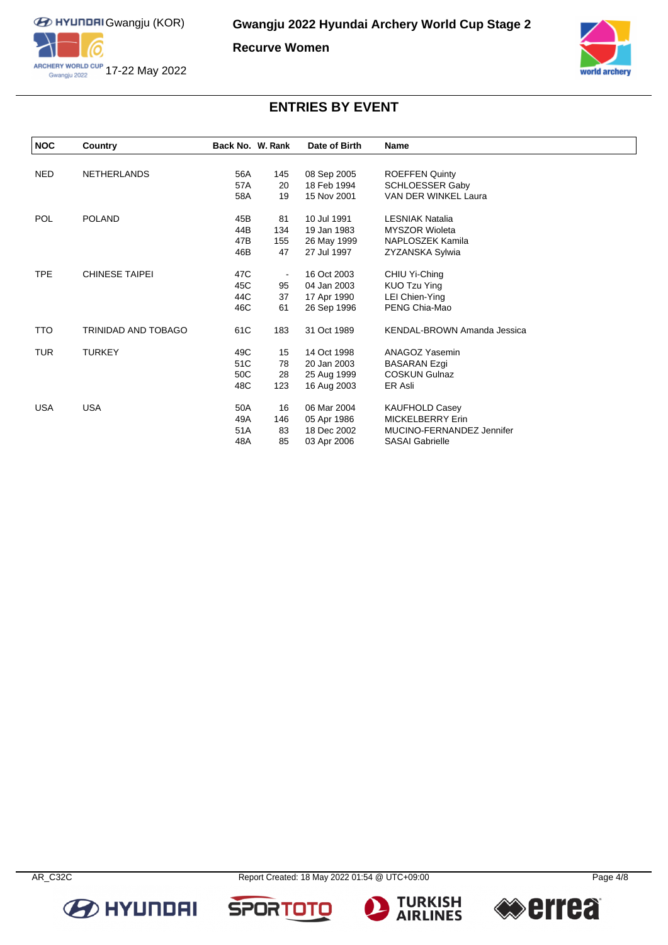

**Recurve Women**



# **ENTRIES BY EVENT**

| <b>NOC</b> | Country               | Back No. W. Rank |     | Date of Birth | <b>Name</b>                 |
|------------|-----------------------|------------------|-----|---------------|-----------------------------|
|            |                       |                  |     |               |                             |
| <b>NED</b> | <b>NETHERLANDS</b>    | 56A              | 145 | 08 Sep 2005   | <b>ROEFFEN Quinty</b>       |
|            |                       | 57A              | 20  | 18 Feb 1994   | <b>SCHLOESSER Gaby</b>      |
|            |                       | 58A              | 19  | 15 Nov 2001   | VAN DER WINKEL Laura        |
| POL        | <b>POLAND</b>         | 45B              | 81  | 10 Jul 1991   | <b>LESNIAK Natalia</b>      |
|            |                       | 44B              | 134 | 19 Jan 1983   | <b>MYSZOR Wioleta</b>       |
|            |                       | 47B              | 155 | 26 May 1999   | NAPLOSZEK Kamila            |
|            |                       | 46B              | 47  | 27 Jul 1997   | ZYZANSKA Sylwia             |
| <b>TPE</b> | <b>CHINESE TAIPEI</b> | 47C              |     | 16 Oct 2003   | CHIU Yi-Ching               |
|            |                       | 45C              | 95  | 04 Jan 2003   | KUO Tzu Ying                |
|            |                       | 44C              | 37  | 17 Apr 1990   | LEI Chien-Ying              |
|            |                       | 46C              | 61  | 26 Sep 1996   | PENG Chia-Mao               |
| TTO        | TRINIDAD AND TOBAGO   | 61C              | 183 | 31 Oct 1989   | KENDAL-BROWN Amanda Jessica |
| <b>TUR</b> | <b>TURKEY</b>         | 49C              | 15  | 14 Oct 1998   | ANAGOZ Yasemin              |
|            |                       | 51C              | 78  | 20 Jan 2003   | <b>BASARAN Ezgi</b>         |
|            |                       | 50C              | 28  | 25 Aug 1999   | <b>COSKUN Gulnaz</b>        |
|            |                       | 48C              | 123 | 16 Aug 2003   | ER Asli                     |
| <b>USA</b> | <b>USA</b>            | 50A              | 16  | 06 Mar 2004   | <b>KAUFHOLD Casey</b>       |
|            |                       | 49A              | 146 | 05 Apr 1986   | <b>MICKELBERRY Erin</b>     |
|            |                       | 51A              | 83  | 18 Dec 2002   | MUCINO-FERNANDEZ Jennifer   |
|            |                       | 48A              | 85  | 03 Apr 2006   | <b>SASAI Gabrielle</b>      |









**SPORTO** 

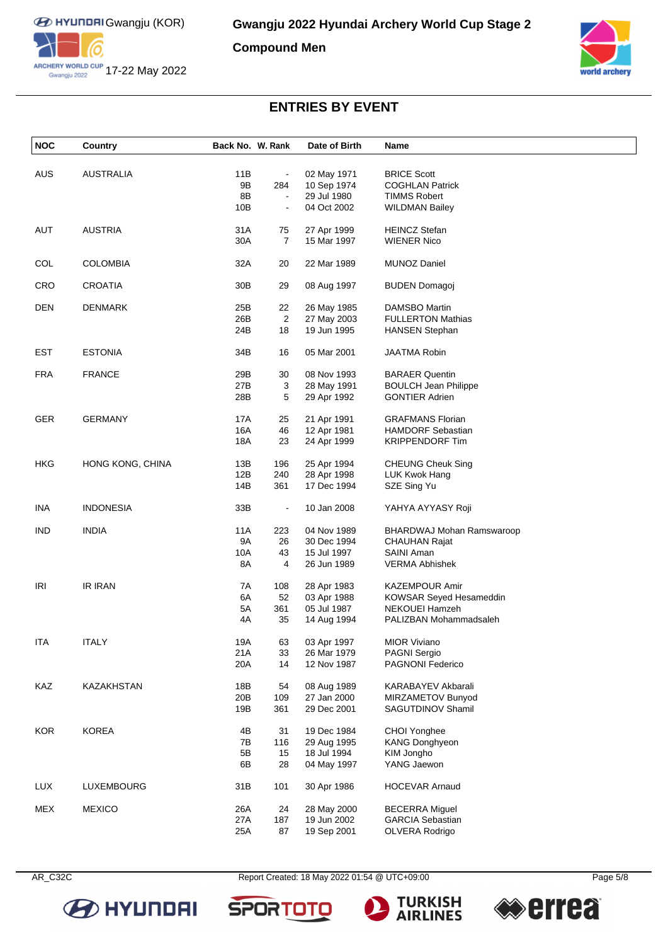

**Compound Men**



# **ENTRIES BY EVENT**

| <b>NOC</b> | Country          | Back No. W. Rank |                | Date of Birth              | Name                                       |
|------------|------------------|------------------|----------------|----------------------------|--------------------------------------------|
| <b>AUS</b> | <b>AUSTRALIA</b> | 11B              |                |                            | <b>BRICE Scott</b>                         |
|            |                  | 9B               | 284            | 02 May 1971                | <b>COGHLAN Patrick</b>                     |
|            |                  |                  |                | 10 Sep 1974                |                                            |
|            |                  | 8B               | $\blacksquare$ | 29 Jul 1980                | <b>TIMMS Robert</b>                        |
|            |                  | 10B              | $\blacksquare$ | 04 Oct 2002                | <b>WILDMAN Bailey</b>                      |
| <b>AUT</b> | <b>AUSTRIA</b>   | 31A              | 75             | 27 Apr 1999                | <b>HEINCZ Stefan</b>                       |
|            |                  | 30A              | 7              | 15 Mar 1997                | <b>WIENER Nico</b>                         |
| COL        | <b>COLOMBIA</b>  | 32A              | 20             | 22 Mar 1989                | <b>MUNOZ Daniel</b>                        |
|            |                  |                  |                |                            |                                            |
| <b>CRO</b> | <b>CROATIA</b>   | 30 <sub>B</sub>  | 29             | 08 Aug 1997                | <b>BUDEN Domagoj</b>                       |
| <b>DEN</b> | <b>DENMARK</b>   | 25B              | 22             | 26 May 1985                | <b>DAMSBO Martin</b>                       |
|            |                  | 26B              | $\overline{2}$ | 27 May 2003                | <b>FULLERTON Mathias</b>                   |
|            |                  | 24B              | 18             | 19 Jun 1995                | <b>HANSEN Stephan</b>                      |
| EST        | <b>ESTONIA</b>   | 34B              | 16             | 05 Mar 2001                | <b>JAATMA Robin</b>                        |
|            |                  |                  |                |                            |                                            |
| <b>FRA</b> | <b>FRANCE</b>    | 29B              | 30             | 08 Nov 1993                | <b>BARAER Quentin</b>                      |
|            |                  | 27B              | 3              | 28 May 1991                | <b>BOULCH Jean Philippe</b>                |
|            |                  | 28B              | 5              | 29 Apr 1992                | <b>GONTIER Adrien</b>                      |
| <b>GER</b> | <b>GERMANY</b>   | 17A              | 25             | 21 Apr 1991                | <b>GRAFMANS Florian</b>                    |
|            |                  | 16A              | 46             | 12 Apr 1981                | <b>HAMDORF Sebastian</b>                   |
|            |                  | 18A              | 23             | 24 Apr 1999                | <b>KRIPPENDORF Tim</b>                     |
|            |                  |                  |                |                            |                                            |
| <b>HKG</b> | HONG KONG, CHINA | 13B              | 196            | 25 Apr 1994                | <b>CHEUNG Cheuk Sing</b>                   |
|            |                  | 12B              | 240            | 28 Apr 1998                | LUK Kwok Hang                              |
|            |                  | 14B              | 361            | 17 Dec 1994                | SZE Sing Yu                                |
| <b>INA</b> | <b>INDONESIA</b> | 33B              | $\blacksquare$ | 10 Jan 2008                | YAHYA AYYASY Roji                          |
|            |                  |                  |                |                            |                                            |
| ind        | <b>INDIA</b>     | 11A<br>9A        | 223<br>26      | 04 Nov 1989<br>30 Dec 1994 | BHARDWAJ Mohan Ramswaroop<br>CHAUHAN Rajat |
|            |                  |                  |                |                            |                                            |
|            |                  | 10A              | 43             | 15 Jul 1997                | SAINI Aman                                 |
|            |                  | 8A               | 4              | 26 Jun 1989                | <b>VERMA Abhishek</b>                      |
| IRI        | <b>IR IRAN</b>   | 7A               | 108            | 28 Apr 1983                | <b>KAZEMPOUR Amir</b>                      |
|            |                  | 6A               | 52             | 03 Apr 1988                | KOWSAR Seyed Hesameddin                    |
|            |                  | 5A               | 361            | 05 Jul 1987                | NEKOUEI Hamzeh                             |
|            |                  | 4A               | 35             | 14 Aug 1994                | PALIZBAN Mohammadsaleh                     |
| ITA        | <b>ITALY</b>     | 19A              | 63             | 03 Apr 1997                | <b>MIOR Viviano</b>                        |
|            |                  | 21A              | 33             | 26 Mar 1979                | <b>PAGNI Sergio</b>                        |
|            |                  | 20A              | 14             | 12 Nov 1987                | PAGNONI Federico                           |
|            |                  |                  |                |                            |                                            |
| KAZ        | KAZAKHSTAN       | 18B              | 54             | 08 Aug 1989                | KARABAYEV Akbarali                         |
|            |                  | 20 <sub>B</sub>  | 109            | 27 Jan 2000                | MIRZAMETOV Bunyod                          |
|            |                  | 19B              | 361            | 29 Dec 2001                | SAGUTDINOV Shamil                          |
| <b>KOR</b> | <b>KOREA</b>     | 4B               | 31             | 19 Dec 1984                | CHOI Yonghee                               |
|            |                  | 7B               | 116            | 29 Aug 1995                | <b>KANG Donghyeon</b>                      |
|            |                  | 5B               | 15             | 18 Jul 1994                | KIM Jongho                                 |
|            |                  | 6B               | 28             | 04 May 1997                | YANG Jaewon                                |
| <b>LUX</b> | LUXEMBOURG       | 31B              | 101            | 30 Apr 1986                | <b>HOCEVAR Arnaud</b>                      |
|            |                  |                  |                |                            |                                            |
| <b>MEX</b> | <b>MEXICO</b>    | 26A              | 24             | 28 May 2000                | <b>BECERRA Miguel</b>                      |
|            |                  | 27A<br>25A       | 187<br>87      | 19 Jun 2002<br>19 Sep 2001 | <b>GARCIA Sebastian</b><br>OLVERA Rodrigo  |
|            |                  |                  |                |                            |                                            |



AR\_C32C Report Created: 18 May 2022 01:54 @ UTC+09:00 Page 5/8





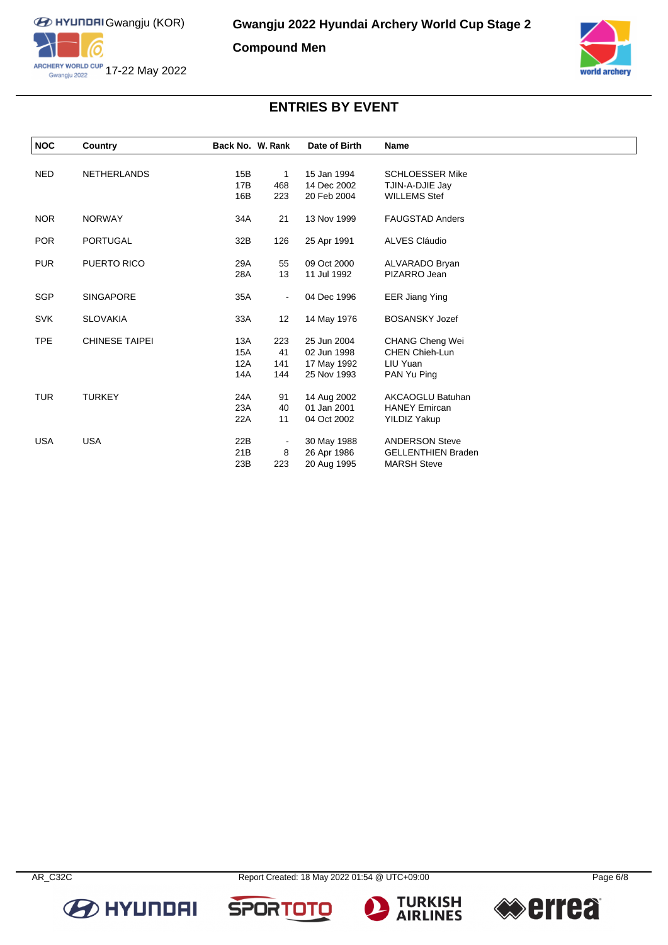

**Compound Men**



# **ENTRIES BY EVENT**

| <b>NOC</b> | Country               | Back No. W. Rank |     | Date of Birth | Name                      |  |
|------------|-----------------------|------------------|-----|---------------|---------------------------|--|
|            |                       |                  |     |               |                           |  |
| <b>NED</b> | <b>NETHERLANDS</b>    | 15B              | 1   | 15 Jan 1994   | <b>SCHLOESSER Mike</b>    |  |
|            |                       | 17B              | 468 | 14 Dec 2002   | TJIN-A-DJIE Jay           |  |
|            |                       | 16B              | 223 | 20 Feb 2004   | <b>WILLEMS Stef</b>       |  |
| <b>NOR</b> | <b>NORWAY</b>         | 34A              | 21  | 13 Nov 1999   | <b>FAUGSTAD Anders</b>    |  |
| <b>POR</b> | <b>PORTUGAL</b>       | 32B              | 126 | 25 Apr 1991   | ALVES Cláudio             |  |
| <b>PUR</b> | PUERTO RICO           | 29A              | 55  | 09 Oct 2000   | ALVARADO Bryan            |  |
|            |                       | 28A              | 13  | 11 Jul 1992   | PIZARRO Jean              |  |
| <b>SGP</b> | <b>SINGAPORE</b>      | 35A              |     | 04 Dec 1996   | <b>EER Jiang Ying</b>     |  |
| <b>SVK</b> | <b>SLOVAKIA</b>       | 33A              | 12  | 14 May 1976   | <b>BOSANSKY Jozef</b>     |  |
| <b>TPE</b> | <b>CHINESE TAIPEI</b> | 13A              | 223 | 25 Jun 2004   | <b>CHANG Cheng Wei</b>    |  |
|            |                       | 15A              | 41  | 02 Jun 1998   | <b>CHEN Chieh-Lun</b>     |  |
|            |                       | 12A              | 141 | 17 May 1992   | LIU Yuan                  |  |
|            |                       | 14A              | 144 | 25 Nov 1993   | PAN Yu Ping               |  |
| <b>TUR</b> | <b>TURKEY</b>         | 24A              | 91  | 14 Aug 2002   | <b>AKCAOGLU Batuhan</b>   |  |
|            |                       | 23A              | 40  | 01 Jan 2001   | <b>HANEY Emircan</b>      |  |
|            |                       | 22A              | 11  | 04 Oct 2002   | <b>YILDIZ Yakup</b>       |  |
| <b>USA</b> | <b>USA</b>            | 22B              |     | 30 May 1988   | <b>ANDERSON Steve</b>     |  |
|            |                       | 21B              | 8   | 26 Apr 1986   | <b>GELLENTHIEN Braden</b> |  |
|            |                       | 23B              | 223 | 20 Aug 1995   | <b>MARSH Steve</b>        |  |







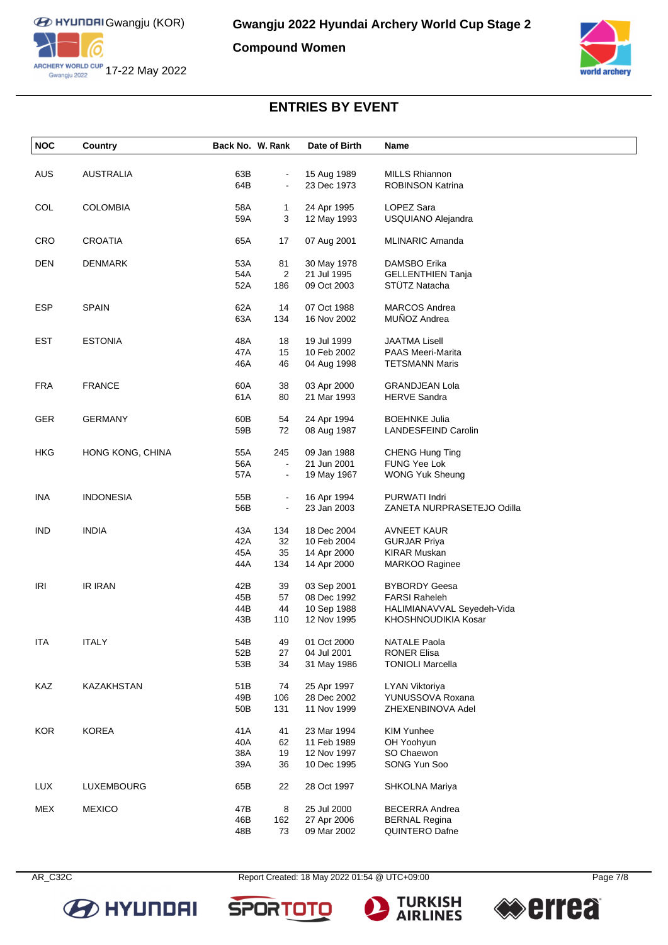

**Compound Women**



# **ENTRIES BY EVENT**

| <b>NOC</b> | Country           | Back No. W. Rank |                | Date of Birth              | Name                                             |
|------------|-------------------|------------------|----------------|----------------------------|--------------------------------------------------|
|            |                   |                  |                |                            |                                                  |
| AUS        | <b>AUSTRALIA</b>  | 63B<br>64B       |                | 15 Aug 1989<br>23 Dec 1973 | <b>MILLS Rhiannon</b><br><b>ROBINSON Katrina</b> |
|            |                   |                  |                |                            |                                                  |
| COL        | <b>COLOMBIA</b>   | 58A              | 1              | 24 Apr 1995                | LOPEZ Sara                                       |
|            |                   | 59A              | 3              | 12 May 1993                | USQUIANO Alejandra                               |
| CRO        | <b>CROATIA</b>    | 65A              | 17             | 07 Aug 2001                | MLINARIC Amanda                                  |
|            |                   |                  |                |                            |                                                  |
| <b>DEN</b> | <b>DENMARK</b>    | 53A              | 81             | 30 May 1978                | DAMSBO Erika                                     |
|            |                   | 54A              | $\overline{2}$ | 21 Jul 1995                | <b>GELLENTHIEN Tanja</b>                         |
|            |                   | 52A              | 186            | 09 Oct 2003                | STÜTZ Natacha                                    |
| <b>ESP</b> | <b>SPAIN</b>      | 62A              | 14             | 07 Oct 1988                | <b>MARCOS Andrea</b>                             |
|            |                   | 63A              | 134            | 16 Nov 2002                | MUÑOZ Andrea                                     |
|            |                   |                  |                |                            |                                                  |
| <b>EST</b> | <b>ESTONIA</b>    | 48A              | 18             | 19 Jul 1999                | <b>JAATMA Lisell</b>                             |
|            |                   | 47A              | 15             | 10 Feb 2002                | <b>PAAS Meeri-Marita</b>                         |
|            |                   | 46A              | 46             | 04 Aug 1998                | <b>TETSMANN Maris</b>                            |
| <b>FRA</b> | <b>FRANCE</b>     | 60A              | 38             | 03 Apr 2000                | <b>GRANDJEAN Lola</b>                            |
|            |                   | 61A              | 80             | 21 Mar 1993                | <b>HERVE Sandra</b>                              |
| GER        | <b>GERMANY</b>    | 60B              | 54             | 24 Apr 1994                | <b>BOEHNKE Julia</b>                             |
|            |                   | 59B              | 72             | 08 Aug 1987                | LANDESFEIND Carolin                              |
|            |                   |                  |                |                            |                                                  |
| <b>HKG</b> | HONG KONG, CHINA  | 55A              | 245            | 09 Jan 1988                | CHENG Hung Ting                                  |
|            |                   | 56A              |                | 21 Jun 2001                | FUNG Yee Lok                                     |
|            |                   | 57A              |                | 19 May 1967                | <b>WONG Yuk Sheung</b>                           |
| <b>INA</b> | <b>INDONESIA</b>  | 55B              | $\blacksquare$ | 16 Apr 1994                | PURWATI Indri                                    |
|            |                   | 56B              | $\blacksquare$ | 23 Jan 2003                | ZANETA NURPRASETEJO Odilla                       |
| <b>IND</b> | <b>INDIA</b>      | 43A              | 134            | 18 Dec 2004                | <b>AVNEET KAUR</b>                               |
|            |                   | 42A              | 32             | 10 Feb 2004                | <b>GURJAR Priya</b>                              |
|            |                   | 45A              | 35             | 14 Apr 2000                | <b>KIRAR Muskan</b>                              |
|            |                   | 44A              | 134            | 14 Apr 2000                | <b>MARKOO Raginee</b>                            |
| <b>IRI</b> | <b>IR IRAN</b>    | 42B              | 39             | 03 Sep 2001                | <b>BYBORDY Geesa</b>                             |
|            |                   | 45B              | 57             | 08 Dec 1992                | <b>FARSI Raheleh</b>                             |
|            |                   | 44B              | 44             | 10 Sep 1988                | HALIMIANAVVAL Seyedeh-Vida                       |
|            |                   | 43B              | 110            | 12 Nov 1995                | KHOSHNOUDIKIA Kosar                              |
|            |                   |                  |                |                            |                                                  |
| ITA        | ITALY             | 54B              | 49             | 01 Oct 2000                | NATALE Paola                                     |
|            |                   | 52B              | 27             | 04 Jul 2001                | <b>RONER Elisa</b>                               |
|            |                   | 53B              | 34             | 31 May 1986                | <b>TONIOLI Marcella</b>                          |
| KAZ        | <b>KAZAKHSTAN</b> | 51B              | 74             | 25 Apr 1997                | <b>LYAN Viktoriya</b>                            |
|            |                   | 49B              | 106            | 28 Dec 2002                | YUNUSSOVA Roxana                                 |
|            |                   | 50B              | 131            | 11 Nov 1999                | ZHEXENBINOVA Adel                                |
| <b>KOR</b> | <b>KOREA</b>      | 41A              | 41             | 23 Mar 1994                | <b>KIM Yunhee</b>                                |
|            |                   | 40A              | 62             | 11 Feb 1989                | OH Yoohyun                                       |
|            |                   | 38A              | 19             | 12 Nov 1997                | SO Chaewon                                       |
|            |                   | 39A              | 36             | 10 Dec 1995                | SONG Yun Soo                                     |
| LUX        | LUXEMBOURG        | 65B              | 22             | 28 Oct 1997                | SHKOLNA Mariya                                   |
|            |                   |                  |                |                            |                                                  |
| <b>MEX</b> | <b>MEXICO</b>     | 47B              | 8              | 25 Jul 2000                | <b>BECERRA Andrea</b>                            |
|            |                   | 46B              | 162            | 27 Apr 2006                | <b>BERNAL Regina</b>                             |
|            |                   | 48B              | 73             | 09 Mar 2002                | QUINTERO Dafne                                   |



AR\_C32C Report Created: 18 May 2022 01:54 @ UTC+09:00 Page 7/8

o

**SPOR**